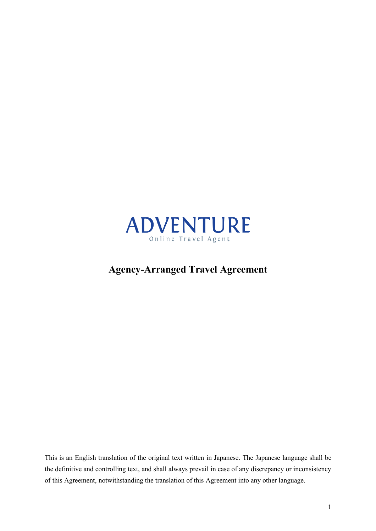

# **Agency-Arranged Travel Agreement**

This is an English translation of the original text written in Japanese. The Japanese language shall be the definitive and controlling text, and shall always prevail in case of any discrepancy or inconsistency of this Agreement, notwithstanding the translation of this Agreement into any other language.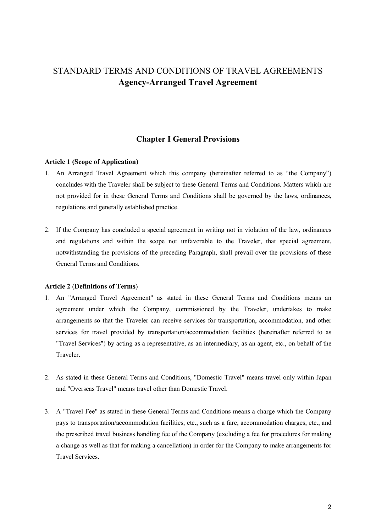# STANDARD TERMS AND CONDITIONS OF TRAVEL AGREEMENTS **Agency-Arranged Travel Agreement**

# **Chapter I General Provisions**

### **Article 1 (Scope of Application)**

- 1. An Arranged Travel Agreement which this company (hereinafter referred to as "the Company") concludes with the Traveler shall be subject to these General Terms and Conditions. Matters which are not provided for in these General Terms and Conditions shall be governed by the laws, ordinances, regulations and generally established practice.
- 2. If the Company has concluded a special agreement in writing not in violation of the law, ordinances and regulations and within the scope not unfavorable to the Traveler, that special agreement, notwithstanding the provisions of the preceding Paragraph, shall prevail over the provisions of these General Terms and Conditions.

#### **Article 2** (**Definitions of Terms**)

- 1. An "Arranged Travel Agreement" as stated in these General Terms and Conditions means an agreement under which the Company, commissioned by the Traveler, undertakes to make arrangements so that the Traveler can receive services for transportation, accommodation, and other services for travel provided by transportation/accommodation facilities (hereinafter referred to as "Travel Services") by acting as a representative, as an intermediary, as an agent, etc., on behalf of the Traveler.
- 2. As stated in these General Terms and Conditions, "Domestic Travel" means travel only within Japan and "Overseas Travel" means travel other than Domestic Travel.
- 3. A "Travel Fee" as stated in these General Terms and Conditions means a charge which the Company pays to transportation/accommodation facilities, etc., such as a fare, accommodation charges, etc., and the prescribed travel business handling fee of the Company (excluding a fee for procedures for making a change as well as that for making a cancellation) in order for the Company to make arrangements for Travel Services.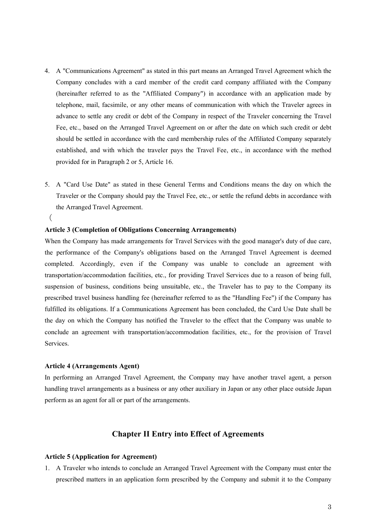- 4. A "Communications Agreement" as stated in this part means an Arranged Travel Agreement which the Company concludes with a card member of the credit card company affiliated with the Company (hereinafter referred to as the "Affiliated Company") in accordance with an application made by telephone, mail, facsimile, or any other means of communication with which the Traveler agrees in advance to settle any credit or debt of the Company in respect of the Traveler concerning the Travel Fee, etc., based on the Arranged Travel Agreement on or after the date on which such credit or debt should be settled in accordance with the card membership rules of the Affiliated Company separately established, and with which the traveler pays the Travel Fee, etc., in accordance with the method provided for in Paragraph 2 or 5, Article 16.
- 5. A "Card Use Date" as stated in these General Terms and Conditions means the day on which the Traveler or the Company should pay the Travel Fee, etc., or settle the refund debts in accordance with the Arranged Travel Agreement.

# (

#### **Article 3 (Completion of Obligations Concerning Arrangements)**

When the Company has made arrangements for Travel Services with the good manager's duty of due care, the performance of the Company's obligations based on the Arranged Travel Agreement is deemed completed. Accordingly, even if the Company was unable to conclude an agreement with transportation/accommodation facilities, etc., for providing Travel Services due to a reason of being full, suspension of business, conditions being unsuitable, etc., the Traveler has to pay to the Company its prescribed travel business handling fee (hereinafter referred to as the "Handling Fee") if the Company has fulfilled its obligations. If a Communications Agreement has been concluded, the Card Use Date shall be the day on which the Company has notified the Traveler to the effect that the Company was unable to conclude an agreement with transportation/accommodation facilities, etc., for the provision of Travel Services.

#### **Article 4 (Arrangements Agent)**

In performing an Arranged Travel Agreement, the Company may have another travel agent, a person handling travel arrangements as a business or any other auxiliary in Japan or any other place outside Japan perform as an agent for all or part of the arrangements.

# **Chapter II Entry into Effect of Agreements**

#### **Article 5 (Application for Agreement)**

1. A Traveler who intends to conclude an Arranged Travel Agreement with the Company must enter the prescribed matters in an application form prescribed by the Company and submit it to the Company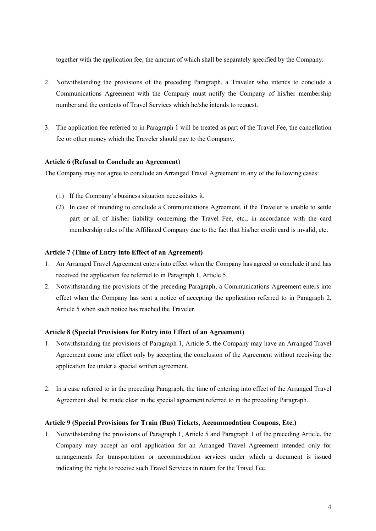together with the application fee, the amount of which shall be separately specified by the Company.

- 2. Notwithstanding the provisions of the preceding Paragraph, a Traveler who intends to conclude a Communications Agreement with the Company must notify the Company of his/her membership number and the contents of Travel Services which he/she intends to request.
- 3. The application fee referred to in Paragraph 1 will be treated as part of the Travel Fee, the cancellation fee or other money which the Traveler should pay to the Company.

## **Article 6 (Refusal to Conclude an Agreement**)

The Company may not agree to conclude an Arranged Travel Agreement in any of the following cases:

- (1) If the Company's business situation necessitates it.
- (2) In case of intending to conclude a Communications Agreement, if the Traveler is unable to settle part or all of his/her liability concerning the Travel Fee, etc., in accordance with the card membership rules of the Affiliated Company due to the fact that his/her credit card is invalid, etc.

# **Article 7 (Time of Entry into Effect of an Agreement)**

- 1. An Arranged Travel Agreement enters into effect when the Company has agreed to conclude it and has received the application fee referred to in Paragraph 1, Article 5.
- 2. Notwithstanding the provisions of the preceding Paragraph, a Communications Agreement enters into effect when the Company has sent a notice of accepting the application referred to in Paragraph 2, Article 5 when such notice has reached the Traveler.

## **Article 8 (Special Provisions for Entry into Effect of an Agreement)**

- 1. Notwithstanding the provisions of Paragraph 1, Article 5, the Company may have an Arranged Travel Agreement come into effect only by accepting the conclusion of the Agreement without receiving the application fee under a special written agreement.
- 2. In a case referred to in the preceding Paragraph, the time of entering into effect of the Arranged Travel Agreement shall be made clear in the special agreement referred to in the preceding Paragraph.

### **Article 9 (Special Provisions for Train (Bus) Tickets, Accommodation Coupons, Etc.)**

1. Notwithstanding the provisions of Paragraph 1, Article 5 and Paragraph 1 of the preceding Article, the Company may accept an oral application for an Arranged Travel Agreement intended only for arrangements for transportation or accommodation services under which a document is issued indicating the right to receive such Travel Services in return for the Travel Fee.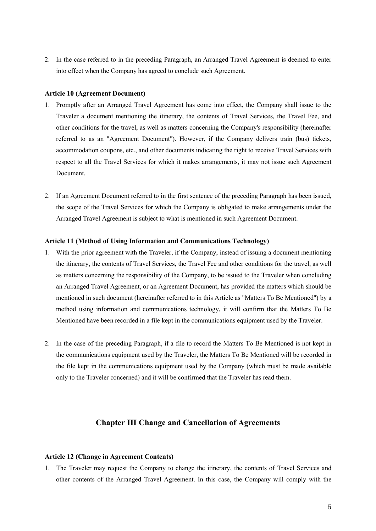2. In the case referred to in the preceding Paragraph, an Arranged Travel Agreement is deemed to enter into effect when the Company has agreed to conclude such Agreement.

#### **Article 10 (Agreement Document)**

- 1. Promptly after an Arranged Travel Agreement has come into effect, the Company shall issue to the Traveler a document mentioning the itinerary, the contents of Travel Services, the Travel Fee, and other conditions for the travel, as well as matters concerning the Company's responsibility (hereinafter referred to as an "Agreement Document"). However, if the Company delivers train (bus) tickets, accommodation coupons, etc., and other documents indicating the right to receive Travel Services with respect to all the Travel Services for which it makes arrangements, it may not issue such Agreement Document.
- 2. If an Agreement Document referred to in the first sentence of the preceding Paragraph has been issued, the scope of the Travel Services for which the Company is obligated to make arrangements under the Arranged Travel Agreement is subject to what is mentioned in such Agreement Document.

### **Article 11 (Method of Using Information and Communications Technology)**

- 1. With the prior agreement with the Traveler, if the Company, instead of issuing a document mentioning the itinerary, the contents of Travel Services, the Travel Fee and other conditions for the travel, as well as matters concerning the responsibility of the Company, to be issued to the Traveler when concluding an Arranged Travel Agreement, or an Agreement Document, has provided the matters which should be mentioned in such document (hereinafter referred to in this Article as "Matters To Be Mentioned") by a method using information and communications technology, it will confirm that the Matters To Be Mentioned have been recorded in a file kept in the communications equipment used by the Traveler.
- 2. In the case of the preceding Paragraph, if a file to record the Matters To Be Mentioned is not kept in the communications equipment used by the Traveler, the Matters To Be Mentioned will be recorded in the file kept in the communications equipment used by the Company (which must be made available only to the Traveler concerned) and it will be confirmed that the Traveler has read them.

# **Chapter III Change and Cancellation of Agreements**

#### **Article 12 (Change in Agreement Contents)**

1. The Traveler may request the Company to change the itinerary, the contents of Travel Services and other contents of the Arranged Travel Agreement. In this case, the Company will comply with the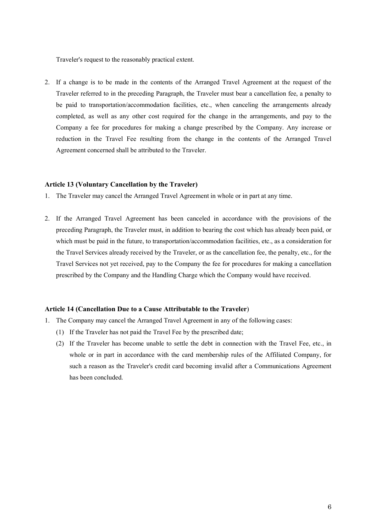Traveler's request to the reasonably practical extent.

2. If a change is to be made in the contents of the Arranged Travel Agreement at the request of the Traveler referred to in the preceding Paragraph, the Traveler must bear a cancellation fee, a penalty to be paid to transportation/accommodation facilities, etc., when canceling the arrangements already completed, as well as any other cost required for the change in the arrangements, and pay to the Company a fee for procedures for making a change prescribed by the Company. Any increase or reduction in the Travel Fee resulting from the change in the contents of the Arranged Travel Agreement concerned shall be attributed to the Traveler.

### **Article 13 (Voluntary Cancellation by the Traveler)**

- 1. The Traveler may cancel the Arranged Travel Agreement in whole or in part at any time.
- 2. If the Arranged Travel Agreement has been canceled in accordance with the provisions of the preceding Paragraph, the Traveler must, in addition to bearing the cost which has already been paid, or which must be paid in the future, to transportation/accommodation facilities, etc., as a consideration for the Travel Services already received by the Traveler, or as the cancellation fee, the penalty, etc., for the Travel Services not yet received, pay to the Company the fee for procedures for making a cancellation prescribed by the Company and the Handling Charge which the Company would have received.

### **Article 14 (Cancellation Due to a Cause Attributable to the Traveler**)

- 1. The Company may cancel the Arranged Travel Agreement in any of the following cases:
	- (1) If the Traveler has not paid the Travel Fee by the prescribed date;
	- (2) If the Traveler has become unable to settle the debt in connection with the Travel Fee, etc., in whole or in part in accordance with the card membership rules of the Affiliated Company, for such a reason as the Traveler's credit card becoming invalid after a Communications Agreement has been concluded.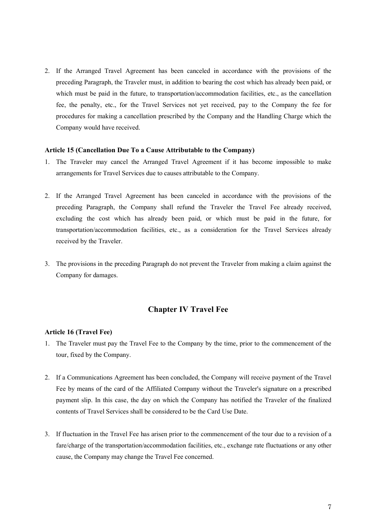2. If the Arranged Travel Agreement has been canceled in accordance with the provisions of the preceding Paragraph, the Traveler must, in addition to bearing the cost which has already been paid, or which must be paid in the future, to transportation/accommodation facilities, etc., as the cancellation fee, the penalty, etc., for the Travel Services not yet received, pay to the Company the fee for procedures for making a cancellation prescribed by the Company and the Handling Charge which the Company would have received.

#### **Article 15 (Cancellation Due To a Cause Attributable to the Company)**

- 1. The Traveler may cancel the Arranged Travel Agreement if it has become impossible to make arrangements for Travel Services due to causes attributable to the Company.
- 2. If the Arranged Travel Agreement has been canceled in accordance with the provisions of the preceding Paragraph, the Company shall refund the Traveler the Travel Fee already received, excluding the cost which has already been paid, or which must be paid in the future, for transportation/accommodation facilities, etc., as a consideration for the Travel Services already received by the Traveler.
- 3. The provisions in the preceding Paragraph do not prevent the Traveler from making a claim against the Company for damages.

# **Chapter IV Travel Fee**

#### **Article 16 (Travel Fee)**

- 1. The Traveler must pay the Travel Fee to the Company by the time, prior to the commencement of the tour, fixed by the Company.
- 2. If a Communications Agreement has been concluded, the Company will receive payment of the Travel Fee by means of the card of the Affiliated Company without the Traveler's signature on a prescribed payment slip. In this case, the day on which the Company has notified the Traveler of the finalized contents of Travel Services shall be considered to be the Card Use Date.
- 3. If fluctuation in the Travel Fee has arisen prior to the commencement of the tour due to a revision of a fare/charge of the transportation/accommodation facilities, etc., exchange rate fluctuations or any other cause, the Company may change the Travel Fee concerned.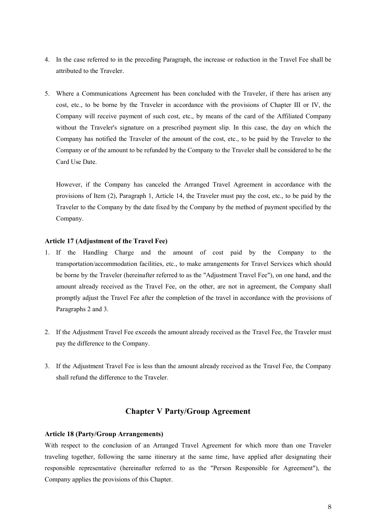- 4. In the case referred to in the preceding Paragraph, the increase or reduction in the Travel Fee shall be attributed to the Traveler.
- 5. Where a Communications Agreement has been concluded with the Traveler, if there has arisen any cost, etc., to be borne by the Traveler in accordance with the provisions of Chapter III or IV, the Company will receive payment of such cost, etc., by means of the card of the Affiliated Company without the Traveler's signature on a prescribed payment slip. In this case, the day on which the Company has notified the Traveler of the amount of the cost, etc., to be paid by the Traveler to the Company or of the amount to be refunded by the Company to the Traveler shall be considered to be the Card Use Date.

However, if the Company has canceled the Arranged Travel Agreement in accordance with the provisions of Item (2), Paragraph 1, Article 14, the Traveler must pay the cost, etc., to be paid by the Traveler to the Company by the date fixed by the Company by the method of payment specified by the Company.

# **Article 17 (Adjustment of the Travel Fee)**

- 1. If the Handling Charge and the amount of cost paid by the Company to the transportation/accommodation facilities, etc., to make arrangements for Travel Services which should be borne by the Traveler (hereinafter referred to as the "Adjustment Travel Fee"), on one hand, and the amount already received as the Travel Fee, on the other, are not in agreement, the Company shall promptly adjust the Travel Fee after the completion of the travel in accordance with the provisions of Paragraphs 2 and 3.
- 2. If the Adjustment Travel Fee exceeds the amount already received as the Travel Fee, the Traveler must pay the difference to the Company.
- 3. If the Adjustment Travel Fee is less than the amount already received as the Travel Fee, the Company shall refund the difference to the Traveler.

# **Chapter V Party/Group Agreement**

### **Article 18 (Party/Group Arrangements)**

With respect to the conclusion of an Arranged Travel Agreement for which more than one Traveler traveling together, following the same itinerary at the same time, have applied after designating their responsible representative (hereinafter referred to as the "Person Responsible for Agreement"), the Company applies the provisions of this Chapter.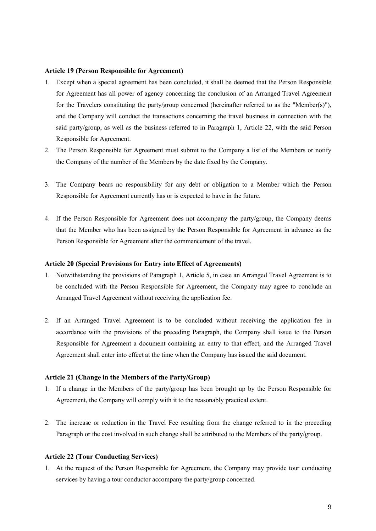#### **Article 19 (Person Responsible for Agreement)**

- 1. Except when a special agreement has been concluded, it shall be deemed that the Person Responsible for Agreement has all power of agency concerning the conclusion of an Arranged Travel Agreement for the Travelers constituting the party/group concerned (hereinafter referred to as the "Member(s)"), and the Company will conduct the transactions concerning the travel business in connection with the said party/group, as well as the business referred to in Paragraph 1, Article 22, with the said Person Responsible for Agreement.
- 2. The Person Responsible for Agreement must submit to the Company a list of the Members or notify the Company of the number of the Members by the date fixed by the Company.
- 3. The Company bears no responsibility for any debt or obligation to a Member which the Person Responsible for Agreement currently has or is expected to have in the future.
- 4. If the Person Responsible for Agreement does not accompany the party/group, the Company deems that the Member who has been assigned by the Person Responsible for Agreement in advance as the Person Responsible for Agreement after the commencement of the travel.

#### **Article 20 (Special Provisions for Entry into Effect of Agreements)**

- 1. Notwithstanding the provisions of Paragraph 1, Article 5, in case an Arranged Travel Agreement is to be concluded with the Person Responsible for Agreement, the Company may agree to conclude an Arranged Travel Agreement without receiving the application fee.
- 2. If an Arranged Travel Agreement is to be concluded without receiving the application fee in accordance with the provisions of the preceding Paragraph, the Company shall issue to the Person Responsible for Agreement a document containing an entry to that effect, and the Arranged Travel Agreement shall enter into effect at the time when the Company has issued the said document.

#### **Article 21 (Change in the Members of the Party/Group)**

- 1. If a change in the Members of the party/group has been brought up by the Person Responsible for Agreement, the Company will comply with it to the reasonably practical extent.
- 2. The increase or reduction in the Travel Fee resulting from the change referred to in the preceding Paragraph or the cost involved in such change shall be attributed to the Members of the party/group.

#### **Article 22 (Tour Conducting Services)**

1. At the request of the Person Responsible for Agreement, the Company may provide tour conducting services by having a tour conductor accompany the party/group concerned.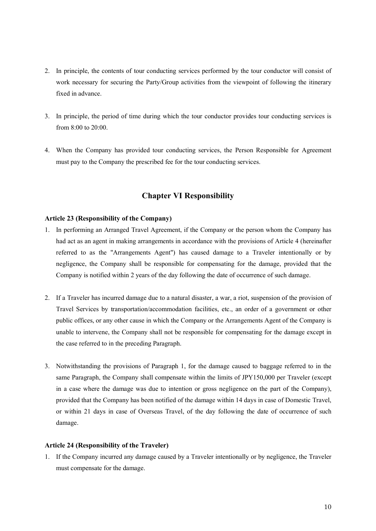- 2. In principle, the contents of tour conducting services performed by the tour conductor will consist of work necessary for securing the Party/Group activities from the viewpoint of following the itinerary fixed in advance.
- 3. In principle, the period of time during which the tour conductor provides tour conducting services is from 8:00 to 20:00.
- 4. When the Company has provided tour conducting services, the Person Responsible for Agreement must pay to the Company the prescribed fee for the tour conducting services.

# **Chapter VI Responsibility**

### **Article 23 (Responsibility of the Company)**

- 1. In performing an Arranged Travel Agreement, if the Company or the person whom the Company has had act as an agent in making arrangements in accordance with the provisions of Article 4 (hereinafter referred to as the "Arrangements Agent") has caused damage to a Traveler intentionally or by negligence, the Company shall be responsible for compensating for the damage, provided that the Company is notified within 2 years of the day following the date of occurrence of such damage.
- 2. If a Traveler has incurred damage due to a natural disaster, a war, a riot, suspension of the provision of Travel Services by transportation/accommodation facilities, etc., an order of a government or other public offices, or any other cause in which the Company or the Arrangements Agent of the Company is unable to intervene, the Company shall not be responsible for compensating for the damage except in the case referred to in the preceding Paragraph.
- 3. Notwithstanding the provisions of Paragraph 1, for the damage caused to baggage referred to in the same Paragraph, the Company shall compensate within the limits of JPY150,000 per Traveler (except in a case where the damage was due to intention or gross negligence on the part of the Company), provided that the Company has been notified of the damage within 14 days in case of Domestic Travel, or within 21 days in case of Overseas Travel, of the day following the date of occurrence of such damage.

### **Article 24 (Responsibility of the Traveler)**

1. If the Company incurred any damage caused by a Traveler intentionally or by negligence, the Traveler must compensate for the damage.